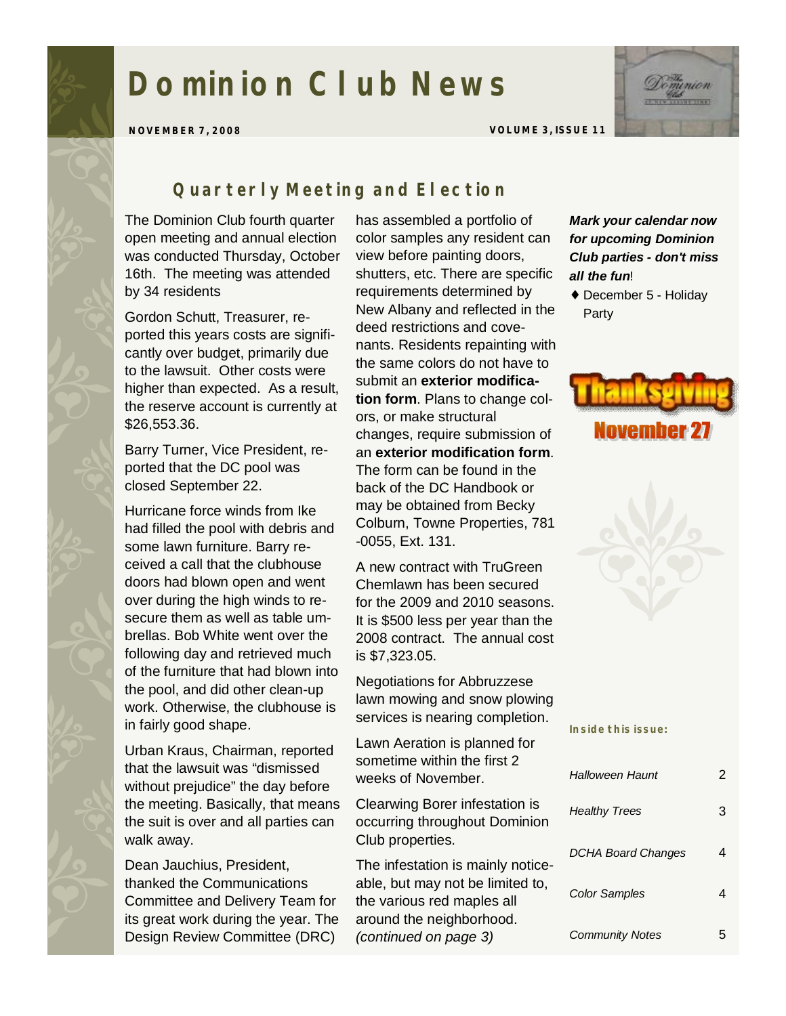# **Dominion Club News**



**NOVEMBER 7, 2008 VOLUME 3, ISSUE 11** 

## *Quarterly Meeting and Election*

The Dominion Club fourth quarter open meeting and annual election was conducted Thursday, October 16th. The meeting was attended by 34 residents

Gordon Schutt, Treasurer, reported this years costs are significantly over budget, primarily due to the lawsuit. Other costs were higher than expected. As a result, the reserve account is currently at \$26,553.36.

Barry Turner, Vice President, reported that the DC pool was closed September 22.

Hurricane force winds from Ike had filled the pool with debris and some lawn furniture. Barry received a call that the clubhouse doors had blown open and went over during the high winds to resecure them as well as table umbrellas. Bob White went over the following day and retrieved much of the furniture that had blown into the pool, and did other clean-up work. Otherwise, the clubhouse is in fairly good shape.

Urban Kraus, Chairman, reported that the lawsuit was "dismissed without prejudice" the day before the meeting. Basically, that means the suit is over and all parties can walk away.

Dean Jauchius, President, thanked the Communications Committee and Delivery Team for its great work during the year. The Design Review Committee (DRC)

has assembled a portfolio of color samples any resident can view before painting doors, shutters, etc. There are specific requirements determined by New Albany and reflected in the deed restrictions and covenants. Residents repainting with the same colors do not have to submit an **exterior modification form**. Plans to change colors, or make structural changes, require submission of an **exterior modification form**. The form can be found in the back of the DC Handbook or may be obtained from Becky Colburn, Towne Properties, 781 -0055, Ext. 131.

A new contract with TruGreen Chemlawn has been secured for the 2009 and 2010 seasons. It is \$500 less per year than the 2008 contract. The annual cost is \$7,323.05.

Negotiations for Abbruzzese lawn mowing and snow plowing services is nearing completion.

Lawn Aeration is planned for sometime within the first 2 weeks of November.

Clearwing Borer infestation is occurring throughout Dominion Club properties.

The infestation is mainly noticeable, but may not be limited to, the various red maples all around the neighborhood. *(continued on page 3)*

#### *Mark your calendar now for upcoming Dominion Club parties - don't miss all the fun*!

♦ December 5 - Holiday Party





**Inside this issue:** 

| <b>Halloween Haunt</b>    | 2 |
|---------------------------|---|
| <b>Healthy Trees</b>      | 3 |
| <b>DCHA Board Changes</b> |   |
| Color Samples             | 4 |
| <b>Community Notes</b>    |   |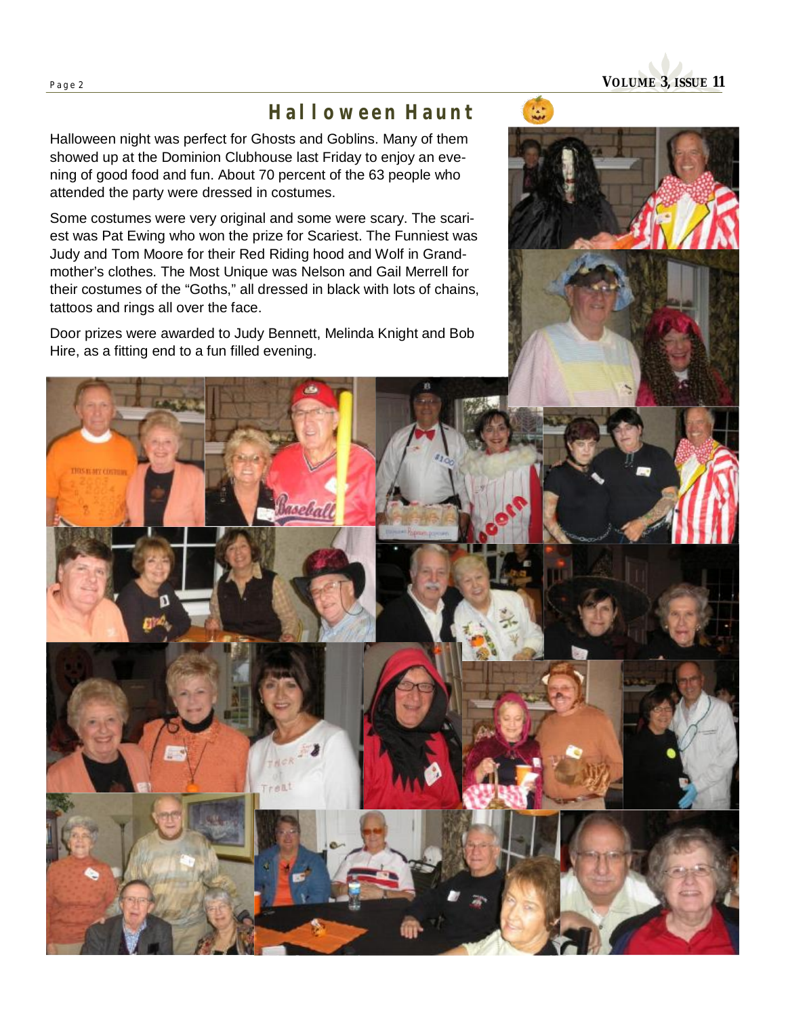## *Halloween Haunt*

Halloween night was perfect for Ghosts and Goblins. Many of them showed up at the Dominion Clubhouse last Friday to enjoy an evening of good food and fun. About 70 percent of the 63 people who attended the party were dressed in costumes.

Some costumes were very original and some were scary. The scariest was Pat Ewing who won the prize for Scariest. The Funniest was Judy and Tom Moore for their Red Riding hood and Wolf in Grandmother's clothes. The Most Unique was Nelson and Gail Merrell for their costumes of the "Goths," all dressed in black with lots of chains, tattoos and rings all over the face.

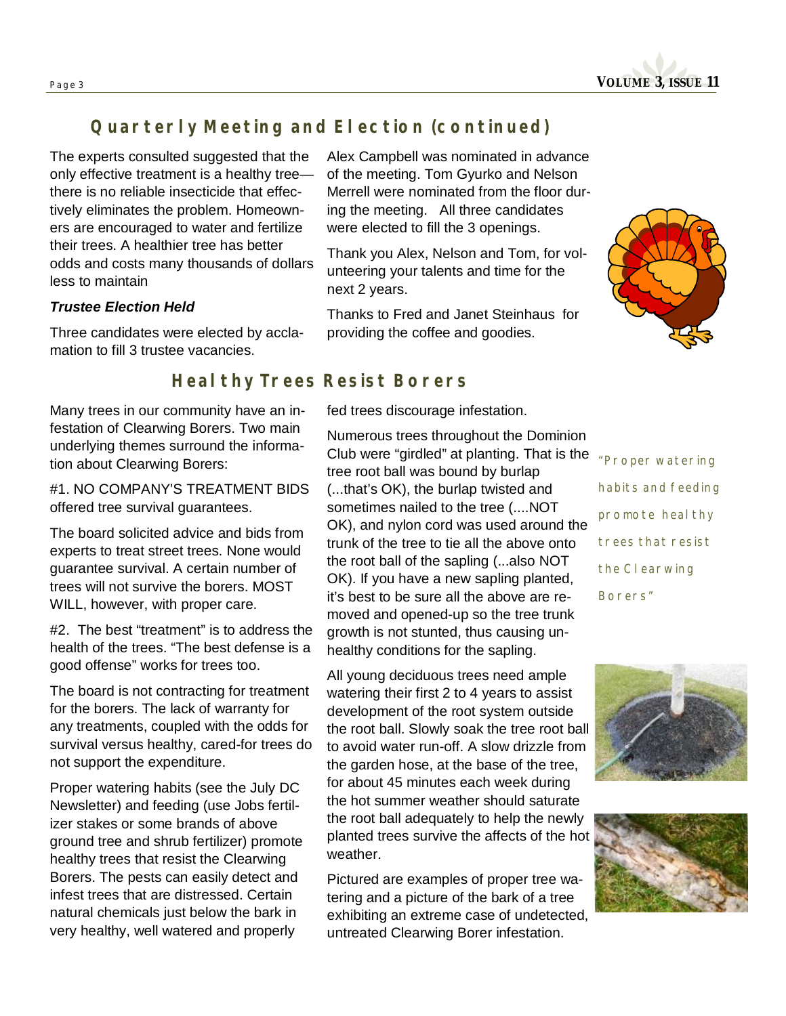**Page <sup>3</sup>VOLUME 3, ISSUE 11** 

## *Quarterly Meeting and Election (continued)*

The experts consulted suggested that the only effective treatment is a healthy tree there is no reliable insecticide that effectively eliminates the problem. Homeowners are encouraged to water and fertilize their trees. A healthier tree has better odds and costs many thousands of dollars less to maintain

#### *Trustee Election Held*

Three candidates were elected by acclamation to fill 3 trustee vacancies.

Alex Campbell was nominated in advance of the meeting. Tom Gyurko and Nelson Merrell were nominated from the floor during the meeting. All three candidates were elected to fill the 3 openings.

Thank you Alex, Nelson and Tom, for volunteering your talents and time for the next 2 years.

Thanks to Fred and Janet Steinhaus for providing the coffee and goodies.



## *Healthy Trees Resist Borers*

fed trees discourage infestation.

Many trees in our community have an infestation of Clearwing Borers. Two main underlying themes surround the information about Clearwing Borers:

#1. NO COMPANY'S TREATMENT BIDS offered tree survival guarantees.

The board solicited advice and bids from experts to treat street trees. None would guarantee survival. A certain number of trees will not survive the borers. MOST WILL, however, with proper care.

#2. The best "treatment" is to address the health of the trees. "The best defense is a good offense" works for trees too.

The board is not contracting for treatment for the borers. The lack of warranty for any treatments, coupled with the odds for survival versus healthy, cared-for trees do not support the expenditure.

Proper watering habits (see the July DC Newsletter) and feeding (use Jobs fertilizer stakes or some brands of above ground tree and shrub fertilizer) promote healthy trees that resist the Clearwing Borers. The pests can easily detect and infest trees that are distressed. Certain natural chemicals just below the bark in very healthy, well watered and properly

Numerous trees throughout the Dominion Club were "girdled" at planting. That is the tree root ball was bound by burlap (...that's OK), the burlap twisted and sometimes nailed to the tree (....NOT OK), and nylon cord was used around the trunk of the tree to tie all the above onto the root ball of the sapling (...also NOT OK). If you have a new sapling planted, it's best to be sure all the above are removed and opened-up so the tree trunk growth is not stunted, thus causing unhealthy conditions for the sapling.

All young deciduous trees need ample watering their first 2 to 4 years to assist development of the root system outside the root ball. Slowly soak the tree root ball to avoid water run-off. A slow drizzle from the garden hose, at the base of the tree, for about 45 minutes each week during the hot summer weather should saturate the root ball adequately to help the newly planted trees survive the affects of the hot weather.

Pictured are examples of proper tree watering and a picture of the bark of a tree exhibiting an extreme case of undetected, untreated Clearwing Borer infestation.

*"Proper watering habits and feeding promote healthy trees that resist the Clearwing Borers"* 



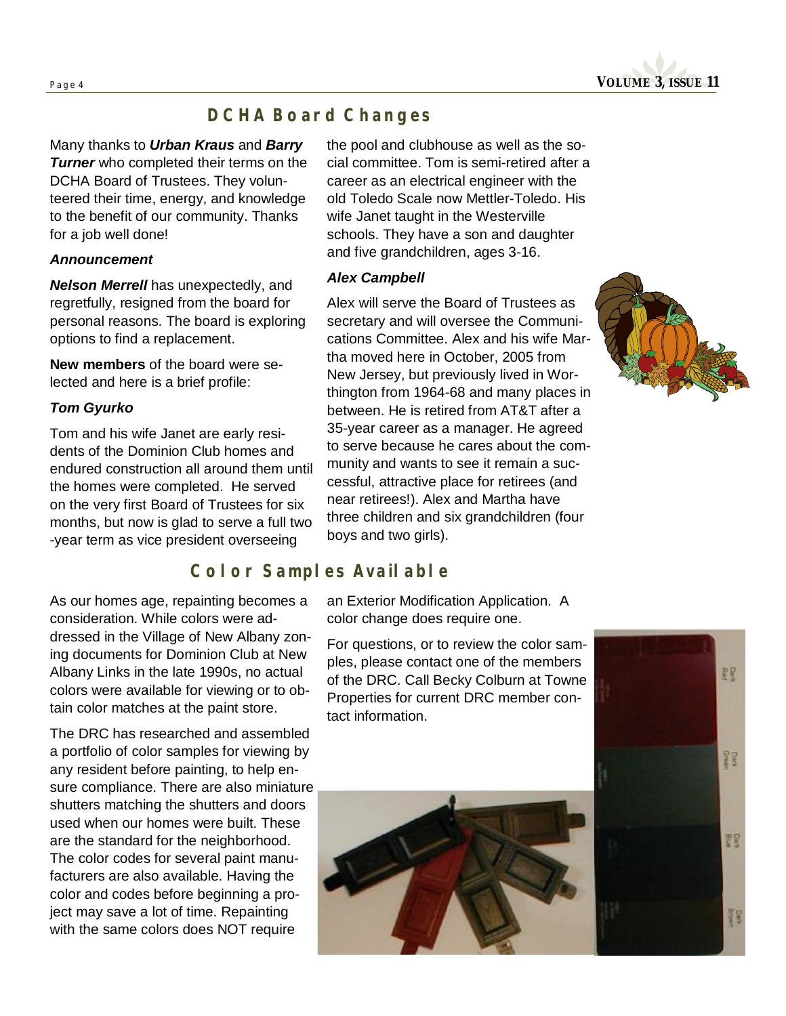**Page <sup>4</sup>VOLUME 3, ISSUE 11** 

## *DCHA Board Changes*

Many thanks to *Urban Kraus* and *Barry*  **Turner** who completed their terms on the DCHA Board of Trustees. They volunteered their time, energy, and knowledge to the benefit of our community. Thanks for a job well done!

#### *Announcement*

*Nelson Merrell* has unexpectedly, and regretfully, resigned from the board for personal reasons. The board is exploring options to find a replacement.

**New members** of the board were selected and here is a brief profile:

#### *Tom Gyurko*

Tom and his wife Janet are early residents of the Dominion Club homes and endured construction all around them until the homes were completed. He served on the very first Board of Trustees for six months, but now is glad to serve a full two -year term as vice president overseeing

*Color Samples Available* 

As our homes age, repainting becomes a consideration. While colors were addressed in the Village of New Albany zoning documents for Dominion Club at New Albany Links in the late 1990s, no actual colors were available for viewing or to obtain color matches at the paint store.

The DRC has researched and assembled a portfolio of color samples for viewing by any resident before painting, to help ensure compliance. There are also miniature shutters matching the shutters and doors used when our homes were built. These are the standard for the neighborhood. The color codes for several paint manufacturers are also available. Having the color and codes before beginning a project may save a lot of time. Repainting with the same colors does NOT require

the pool and clubhouse as well as the social committee. Tom is semi-retired after a career as an electrical engineer with the old Toledo Scale now Mettler-Toledo. His wife Janet taught in the Westerville schools. They have a son and daughter and five grandchildren, ages 3-16.

#### *Alex Campbell*

Alex will serve the Board of Trustees as secretary and will oversee the Communications Committee. Alex and his wife Martha moved here in October, 2005 from New Jersey, but previously lived in Worthington from 1964-68 and many places in between. He is retired from AT&T after a 35-year career as a manager. He agreed to serve because he cares about the community and wants to see it remain a successful, attractive place for retirees (and near retirees!). Alex and Martha have three children and six grandchildren (four boys and two girls).



an Exterior Modification Application. A color change does require one.

For questions, or to review the color samples, please contact one of the members of the DRC. Call Becky Colburn at Towne Properties for current DRC member contact information.